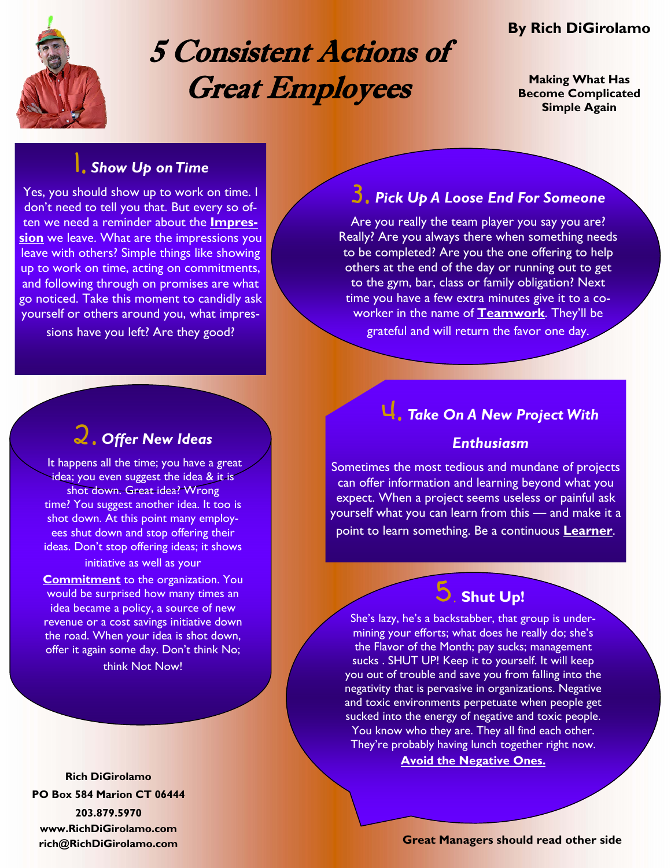

# 5 Consistent Actions of Great Employees

# **By Rich DiGirolamo**

**Making What Has Become Complicated Simple Again** 

# 1. *Show Up on Time*

Yes, you should show up to work on time. I don't need to tell you that. But every so often we need a reminder about the **Impression** we leave. What are the impressions you leave with others? Simple things like showing up to work on time, acting on commitments, and following through on promises are what go noticed. Take this moment to candidly ask yourself or others around you, what impressions have you left? Are they good?

# 2. *Offer New Ideas*

It happens all the time; you have a great idea; you even suggest the idea & it is shot down. Great idea? Wrong time? You suggest another idea. It too is shot down. At this point many employees shut down and stop offering their ideas. Don't stop offering ideas; it shows initiative as well as your

**Commitment** to the organization. You would be surprised how many times an idea became a policy, a source of new revenue or a cost savings initiative down the road. When your idea is shot down, offer it again some day. Don't think No; think Not Now!

**Rich DiGirolamo PO Box 584 Marion CT 06444 203.879.5970 www.RichDiGirolamo.com** 

# 3. *Pick Up A Loose End For Someone*

Are you really the team player you say you are? Really? Are you always there when something needs to be completed? Are you the one offering to help others at the end of the day or running out to get to the gym, bar, class or family obligation? Next time you have a few extra minutes give it to a coworker in the name of **Teamwork**. They'll be grateful and will return the favor one day.

# 4. *Take On A New Project With*

### *Enthusiasm*

Sometimes the most tedious and mundane of projects can offer information and learning beyond what you expect. When a project seems useless or painful ask yourself what you can learn from this — and make it a point to learn something. Be a continuous **Learner**.

### 5. **Shut Up!**

She's lazy, he's a backstabber, that group is undermining your efforts; what does he really do; she's the Flavor of the Month; pay sucks; management sucks . SHUT UP! Keep it to yourself. It will keep you out of trouble and save you from falling into the negativity that is pervasive in organizations. Negative and toxic environments perpetuate when people get sucked into the energy of negative and toxic people. You know who they are. They all find each other. They're probably having lunch together right now.

#### **Avoid the Negative Ones.**

**rich@RichDiGirolamo.com Great Managers should read other side**